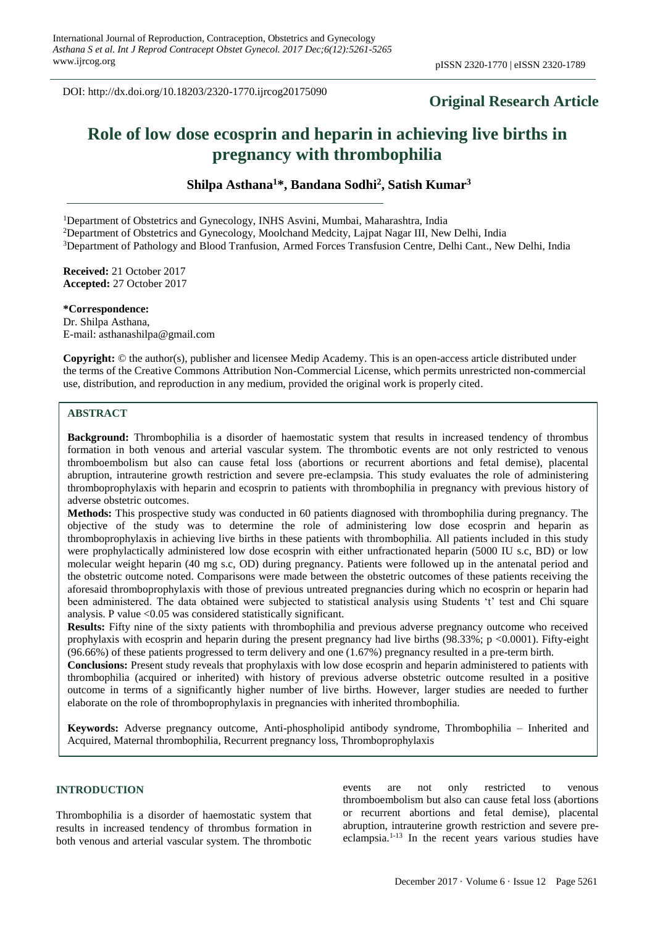DOI: http://dx.doi.org/10.18203/2320-1770.ijrcog20175090

# **Original Research Article**

# **Role of low dose ecosprin and heparin in achieving live births in pregnancy with thrombophilia**

**Shilpa Asthana<sup>1</sup>\*, Bandana Sodhi<sup>2</sup> , Satish Kumar<sup>3</sup>**

<sup>1</sup>Department of Obstetrics and Gynecology, INHS Asvini, Mumbai, Maharashtra, India

<sup>2</sup>Department of Obstetrics and Gynecology, Moolchand Medcity, Lajpat Nagar III, New Delhi, India

<sup>3</sup>Department of Pathology and Blood Tranfusion, Armed Forces Transfusion Centre, Delhi Cant., New Delhi, India

**Received:** 21 October 2017 **Accepted:** 27 October 2017

#### **\*Correspondence:**

Dr. Shilpa Asthana, E-mail: asthanashilpa@gmail.com

**Copyright:** © the author(s), publisher and licensee Medip Academy. This is an open-access article distributed under the terms of the Creative Commons Attribution Non-Commercial License, which permits unrestricted non-commercial use, distribution, and reproduction in any medium, provided the original work is properly cited.

#### **ABSTRACT**

**Background:** Thrombophilia is a disorder of haemostatic system that results in increased tendency of thrombus formation in both venous and arterial vascular system. The thrombotic events are not only restricted to venous thromboembolism but also can cause fetal loss (abortions or recurrent abortions and fetal demise), placental abruption, intrauterine growth restriction and severe pre-eclampsia. This study evaluates the role of administering thromboprophylaxis with heparin and ecosprin to patients with thrombophilia in pregnancy with previous history of adverse obstetric outcomes.

**Methods:** This prospective study was conducted in 60 patients diagnosed with thrombophilia during pregnancy. The objective of the study was to determine the role of administering low dose ecosprin and heparin as thromboprophylaxis in achieving live births in these patients with thrombophilia. All patients included in this study were prophylactically administered low dose ecosprin with either unfractionated heparin (5000 IU s.c, BD) or low molecular weight heparin (40 mg s.c, OD) during pregnancy. Patients were followed up in the antenatal period and the obstetric outcome noted. Comparisons were made between the obstetric outcomes of these patients receiving the aforesaid thromboprophylaxis with those of previous untreated pregnancies during which no ecosprin or heparin had been administered. The data obtained were subjected to statistical analysis using Students 't' test and Chi square analysis. P value  $\leq 0.05$  was considered statistically significant.

**Results:** Fifty nine of the sixty patients with thrombophilia and previous adverse pregnancy outcome who received prophylaxis with ecosprin and heparin during the present pregnancy had live births  $(98.33\%; p < 0.0001)$ . Fifty-eight (96.66%) of these patients progressed to term delivery and one (1.67%) pregnancy resulted in a pre-term birth.

**Conclusions:** Present study reveals that prophylaxis with low dose ecosprin and heparin administered to patients with thrombophilia (acquired or inherited) with history of previous adverse obstetric outcome resulted in a positive outcome in terms of a significantly higher number of live births. However, larger studies are needed to further elaborate on the role of thromboprophylaxis in pregnancies with inherited thrombophilia.

**Keywords:** Adverse pregnancy outcome, Anti-phospholipid antibody syndrome, Thrombophilia – Inherited and Acquired, Maternal thrombophilia, Recurrent pregnancy loss, Thromboprophylaxis

#### **INTRODUCTION**

Thrombophilia is a disorder of haemostatic system that results in increased tendency of thrombus formation in both venous and arterial vascular system. The thrombotic events are not only restricted to venous thromboembolism but also can cause fetal loss (abortions or recurrent abortions and fetal demise), placental abruption, intrauterine growth restriction and severe preeclampsia.1-13 In the recent years various studies have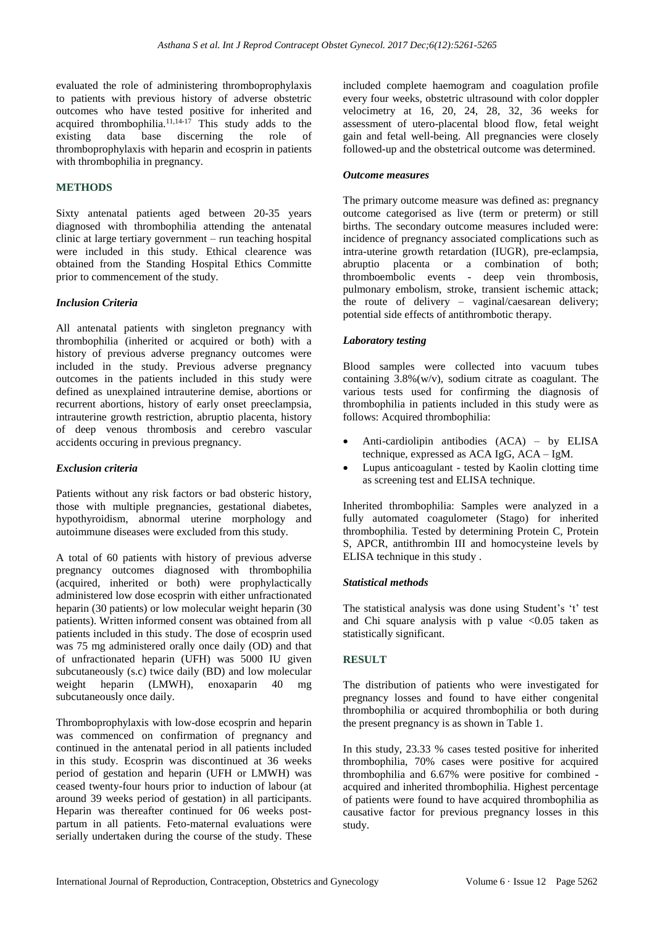evaluated the role of administering thromboprophylaxis to patients with previous history of adverse obstetric outcomes who have tested positive for inherited and acquired thrombophilia.<sup>11,14-17</sup> This study adds to the existing data base discerning the role of thromboprophylaxis with heparin and ecosprin in patients with thrombophilia in pregnancy.

## **METHODS**

Sixty antenatal patients aged between 20-35 years diagnosed with thrombophilia attending the antenatal clinic at large tertiary government – run teaching hospital were included in this study. Ethical clearence was obtained from the Standing Hospital Ethics Committe prior to commencement of the study.

#### *Inclusion Criteria*

All antenatal patients with singleton pregnancy with thrombophilia (inherited or acquired or both) with a history of previous adverse pregnancy outcomes were included in the study. Previous adverse pregnancy outcomes in the patients included in this study were defined as unexplained intrauterine demise, abortions or recurrent abortions, history of early onset preeclampsia, intrauterine growth restriction, abruptio placenta, history of deep venous thrombosis and cerebro vascular accidents occuring in previous pregnancy.

#### *Exclusion criteria*

Patients without any risk factors or bad obsteric history, those with multiple pregnancies, gestational diabetes, hypothyroidism, abnormal uterine morphology and autoimmune diseases were excluded from this study.

A total of 60 patients with history of previous adverse pregnancy outcomes diagnosed with thrombophilia (acquired, inherited or both) were prophylactically administered low dose ecosprin with either unfractionated heparin (30 patients) or low molecular weight heparin (30 patients). Written informed consent was obtained from all patients included in this study. The dose of ecosprin used was 75 mg administered orally once daily (OD) and that of unfractionated heparin (UFH) was 5000 IU given subcutaneously (s.c) twice daily (BD) and low molecular weight heparin (LMWH), enoxaparin 40 mg subcutaneously once daily.

Thromboprophylaxis with low-dose ecosprin and heparin was commenced on confirmation of pregnancy and continued in the antenatal period in all patients included in this study. Ecosprin was discontinued at 36 weeks period of gestation and heparin (UFH or LMWH) was ceased twenty-four hours prior to induction of labour (at around 39 weeks period of gestation) in all participants. Heparin was thereafter continued for 06 weeks postpartum in all patients. Feto-maternal evaluations were serially undertaken during the course of the study. These included complete haemogram and coagulation profile every four weeks, obstetric ultrasound with color doppler velocimetry at 16, 20, 24, 28, 32, 36 weeks for assessment of utero-placental blood flow, fetal weight gain and fetal well-being. All pregnancies were closely followed-up and the obstetrical outcome was determined.

#### *Outcome measures*

The primary outcome measure was defined as: pregnancy outcome categorised as live (term or preterm) or still births. The secondary outcome measures included were: incidence of pregnancy associated complications such as intra-uterine growth retardation (IUGR), pre-eclampsia, abruptio placenta or a combination of both; thromboembolic events - deep vein thrombosis, pulmonary embolism, stroke, transient ischemic attack; the route of delivery – vaginal/caesarean delivery; potential side effects of antithrombotic therapy.

#### *Laboratory testing*

Blood samples were collected into vacuum tubes containing 3.8%(w/v), sodium citrate as coagulant. The various tests used for confirming the diagnosis of thrombophilia in patients included in this study were as follows: Acquired thrombophilia:

- Anti-cardiolipin antibodies (ACA) by ELISA technique, expressed as ACA IgG, ACA – IgM.
- Lupus anticoagulant tested by Kaolin clotting time as screening test and ELISA technique.

Inherited thrombophilia: Samples were analyzed in a fully automated coagulometer (Stago) for inherited thrombophilia. Tested by determining Protein C, Protein S, APCR, antithrombin III and homocysteine levels by ELISA technique in this study .

#### *Statistical methods*

The statistical analysis was done using Student's 't' test and Chi square analysis with p value  $\langle 0.05 \rangle$  taken as statistically significant.

#### **RESULT**

The distribution of patients who were investigated for pregnancy losses and found to have either congenital thrombophilia or acquired thrombophilia or both during the present pregnancy is as shown in Table 1.

In this study, 23.33 % cases tested positive for inherited thrombophilia, 70% cases were positive for acquired thrombophilia and 6.67% were positive for combined acquired and inherited thrombophilia. Highest percentage of patients were found to have acquired thrombophilia as causative factor for previous pregnancy losses in this study.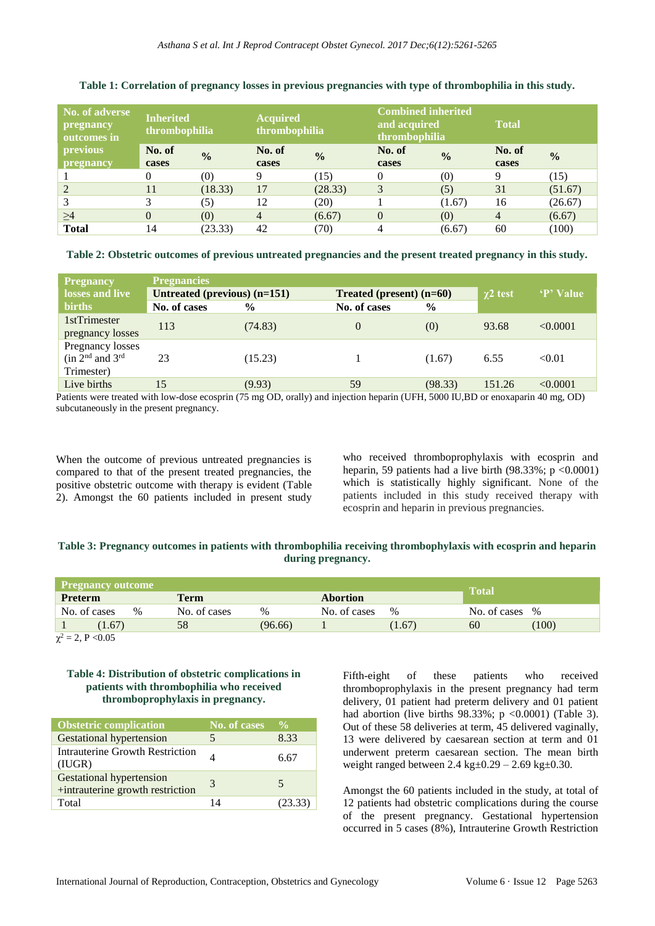| No. of adverse<br>pregnancy<br>outcomes in | <b>Inherited</b><br>thrombophilia |               | <b>Acquired</b><br>thrombophilia |               | <b>Combined inherited</b><br>and acquired<br>thrombophilia |               | <b>Total</b>   |               |
|--------------------------------------------|-----------------------------------|---------------|----------------------------------|---------------|------------------------------------------------------------|---------------|----------------|---------------|
| previous                                   | No. of                            | $\frac{0}{0}$ | No. of                           | $\frac{0}{0}$ | No. of                                                     | $\frac{0}{0}$ | No. of         | $\frac{0}{0}$ |
| pregnancy                                  | cases                             |               | cases                            |               | cases                                                      |               | cases          |               |
|                                            | 0                                 | (0)           | 9                                | (15)          | $\theta$                                                   | (0)           | Q              | (15)          |
|                                            | 11                                | (18.33)       | 17                               | (28.33)       | 3                                                          | (5)           | 31             | (51.67)       |
| 3                                          | 3                                 | (5)           | 12                               | (20)          |                                                            | (1.67)        | 16             | (26.67)       |
| $\geq$ 4                                   | $\theta$                          | (0)           | $\overline{4}$                   | (6.67)        | $\theta$                                                   | (0)           | $\overline{4}$ | (6.67)        |
| <b>Total</b>                               | 14                                | (23.33)       | 42                               | (70)          |                                                            | (6.67)        | 60             | (100)         |

#### **Table 1: Correlation of pregnancy losses in previous pregnancies with type of thrombophilia in this study.**

**Table 2: Obstetric outcomes of previous untreated pregnancies and the present treated pregnancy in this study.** 

| <b>Pregnancy</b>                                     | <b>Pregnancies</b>           |               |                            |               |               |           |
|------------------------------------------------------|------------------------------|---------------|----------------------------|---------------|---------------|-----------|
| losses and live                                      | Untreated (previous) (n=151) |               | Treated (present) $(n=60)$ |               | $\chi$ 2 test | 'P' Value |
| <b>births</b>                                        | No. of cases                 | $\frac{0}{0}$ | No. of cases               | $\frac{6}{9}$ |               |           |
| 1stTrimester<br>pregnancy losses                     | 113                          | (74.83)       | $\Omega$                   | (0)           | 93.68         | < 0.0001  |
| Pregnancy losses<br>$(in 2nd and 3rd)$<br>Trimester) | 23                           | (15.23)       |                            | (1.67)        | 6.55          | < 0.01    |
| Live births                                          | 15                           | (9.93)        | 59                         | (98.33)       | 151.26        | < 0.0001  |

Patients were treated with low-dose ecosprin (75 mg OD, orally) and injection heparin (UFH, 5000 IU,BD or enoxaparin 40 mg, OD) subcutaneously in the present pregnancy.

When the outcome of previous untreated pregnancies is compared to that of the present treated pregnancies, the positive obstetric outcome with therapy is evident (Table 2). Amongst the 60 patients included in present study who received thromboprophylaxis with ecosprin and heparin, 59 patients had a live birth  $(98.33\%; p < 0.0001)$ which is statistically highly significant. None of the patients included in this study received therapy with ecosprin and heparin in previous pregnancies.

# **Table 3: Pregnancy outcomes in patients with thrombophilia receiving thrombophylaxis with ecosprin and heparin during pregnancy.**

| <b>Pregnancy outcome</b> |                      |         |              |                 |                |                  |  |
|--------------------------|----------------------|---------|--------------|-----------------|----------------|------------------|--|
| <b>Preterm</b>           | <b>Term</b>          |         |              | <b>Abortion</b> |                | <b>Total</b>     |  |
| No. of cases             | No. of cases<br>$\%$ | $\%$    | No. of cases | $\%$            | No. of cases % |                  |  |
| (1.67)                   | 58                   | (96.66) |              | (1.67)          | 60             | 100 <sup>)</sup> |  |

 $\chi^2 = 2$ , P < 0.05

#### **Table 4: Distribution of obstetric complications in patients with thrombophilia who received thromboprophylaxis in pregnancy.**

| <b>Obstetric complication</b>                                       | No. of cases | $\frac{0}{0}$ |
|---------------------------------------------------------------------|--------------|---------------|
| <b>Gestational hypertension</b>                                     |              | 8.33          |
| <b>Intrauterine Growth Restriction</b><br>(IUGR)                    |              | 6.67          |
| <b>Gestational hypertension</b><br>+intrauterine growth restriction | 3            | 5             |
| Total                                                               | 14           | (23.33)       |

Fifth-eight of these patients who received thromboprophylaxis in the present pregnancy had term delivery, 01 patient had preterm delivery and 01 patient had abortion (live births  $98.33\%$ ; p <0.0001) (Table 3). Out of these 58 deliveries at term, 45 delivered vaginally, 13 were delivered by caesarean section at term and 01 underwent preterm caesarean section. The mean birth weight ranged between  $2.4 \text{ kg} \pm 0.29 - 2.69 \text{ kg} \pm 0.30$ .

Amongst the 60 patients included in the study, at total of 12 patients had obstetric complications during the course of the present pregnancy. Gestational hypertension occurred in 5 cases (8%), Intrauterine Growth Restriction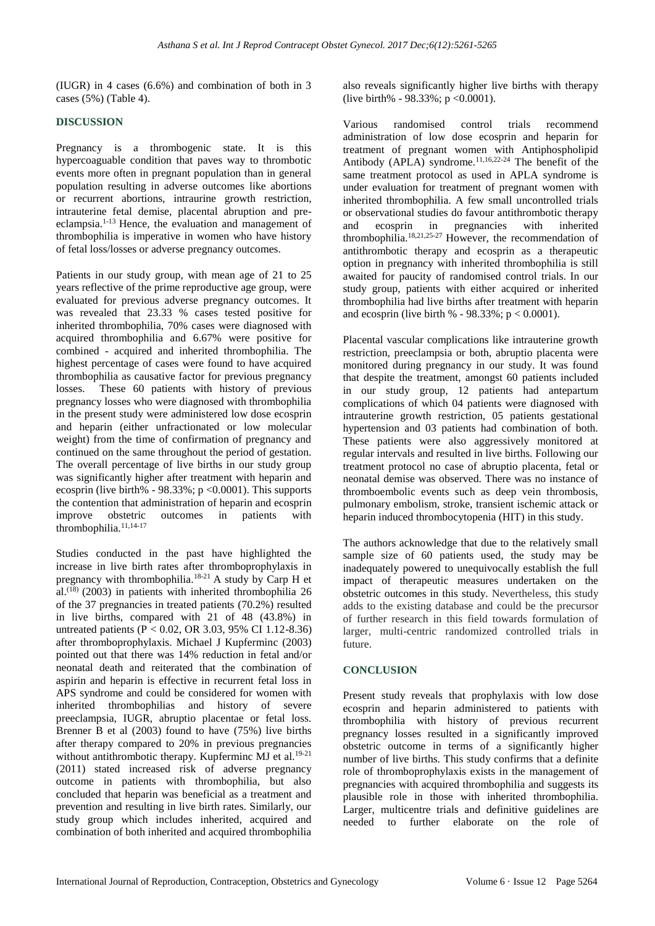(IUGR) in 4 cases (6.6%) and combination of both in 3 cases (5%) (Table 4).

#### **DISCUSSION**

Pregnancy is a thrombogenic state. It is this hypercoaguable condition that paves way to thrombotic events more often in pregnant population than in general population resulting in adverse outcomes like abortions or recurrent abortions, intraurine growth restriction, intrauterine fetal demise, placental abruption and preeclampsia.1-13 Hence, the evaluation and management of thrombophilia is imperative in women who have history of fetal loss/losses or adverse pregnancy outcomes.

Patients in our study group, with mean age of 21 to 25 years reflective of the prime reproductive age group, were evaluated for previous adverse pregnancy outcomes. It was revealed that 23.33 % cases tested positive for inherited thrombophilia, 70% cases were diagnosed with acquired thrombophilia and 6.67% were positive for combined - acquired and inherited thrombophilia. The highest percentage of cases were found to have acquired thrombophilia as causative factor for previous pregnancy losses. These 60 patients with history of previous pregnancy losses who were diagnosed with thrombophilia in the present study were administered low dose ecosprin and heparin (either unfractionated or low molecular weight) from the time of confirmation of pregnancy and continued on the same throughout the period of gestation. The overall percentage of live births in our study group was significantly higher after treatment with heparin and ecosprin (live birth% -  $98.33\%$ ; p < 0.0001). This supports the contention that administration of heparin and ecosprin improve obstetric outcomes in patients with thrombophilia.<sup>11,14-17</sup>

Studies conducted in the past have highlighted the increase in live birth rates after thromboprophylaxis in pregnancy with thrombophilia.18-21 A study by Carp H et al.<sup> $(18)$ </sup> (2003) in patients with inherited thrombophilia 26 of the 37 pregnancies in treated patients (70.2%) resulted in live births, compared with 21 of 48 (43.8%) in untreated patients (P < 0.02, OR 3.03, 95% CI 1.12-8.36) after thromboprophylaxis. Michael J Kupferminc (2003) pointed out that there was 14% reduction in fetal and/or neonatal death and reiterated that the combination of aspirin and heparin is effective in recurrent fetal loss in APS syndrome and could be considered for women with inherited thrombophilias and history of severe preeclampsia, IUGR, abruptio placentae or fetal loss. Brenner B et al (2003) found to have (75%) live births after therapy compared to 20% in previous pregnancies without antithrombotic therapy. Kupferminc MJ et al.<sup>19-21</sup> (2011) stated increased risk of adverse pregnancy outcome in patients with thrombophilia, but also concluded that heparin was beneficial as a treatment and prevention and resulting in live birth rates. Similarly, our study group which includes inherited, acquired and combination of both inherited and acquired thrombophilia also reveals significantly higher live births with therapy (live birth% -  $98.33\%$ ; p < 0.0001).

Various randomised control trials recommend administration of low dose ecosprin and heparin for treatment of pregnant women with Antiphospholipid Antibody  $(APLA)$  syndrome.<sup>11,16,22-24</sup> The benefit of the same treatment protocol as used in APLA syndrome is under evaluation for treatment of pregnant women with inherited thrombophilia. A few small uncontrolled trials or observational studies do favour antithrombotic therapy and ecosprin in pregnancies with inherited thrombophilia.18,21,25-27 However, the recommendation of antithrombotic therapy and ecosprin as a therapeutic option in pregnancy with inherited thrombophilia is still awaited for paucity of randomised control trials. In our study group, patients with either acquired or inherited thrombophilia had live births after treatment with heparin and ecosprin (live birth  $% -98.33\%; p < 0.0001$ ).

Placental vascular complications like intrauterine growth restriction, preeclampsia or both, abruptio placenta were monitored during pregnancy in our study. It was found that despite the treatment, amongst 60 patients included in our study group, 12 patients had antepartum complications of which 04 patients were diagnosed with intrauterine growth restriction, 05 patients gestational hypertension and 03 patients had combination of both. These patients were also aggressively monitored at regular intervals and resulted in live births. Following our treatment protocol no case of abruptio placenta, fetal or neonatal demise was observed. There was no instance of thromboembolic events such as deep vein thrombosis, pulmonary embolism, stroke, transient ischemic attack or heparin induced thrombocytopenia (HIT) in this study.

The authors acknowledge that due to the relatively small sample size of 60 patients used, the study may be inadequately powered to unequivocally establish the full impact of therapeutic measures undertaken on the obstetric outcomes in this study. Nevertheless, this study adds to the existing database and could be the precursor of further research in this field towards formulation of larger, multi-centric randomized controlled trials in future.

# **CONCLUSION**

Present study reveals that prophylaxis with low dose ecosprin and heparin administered to patients with thrombophilia with history of previous recurrent pregnancy losses resulted in a significantly improved obstetric outcome in terms of a significantly higher number of live births. This study confirms that a definite role of thromboprophylaxis exists in the management of pregnancies with acquired thrombophilia and suggests its plausible role in those with inherited thrombophilia. Larger, multicentre trials and definitive guidelines are needed to further elaborate on the role of